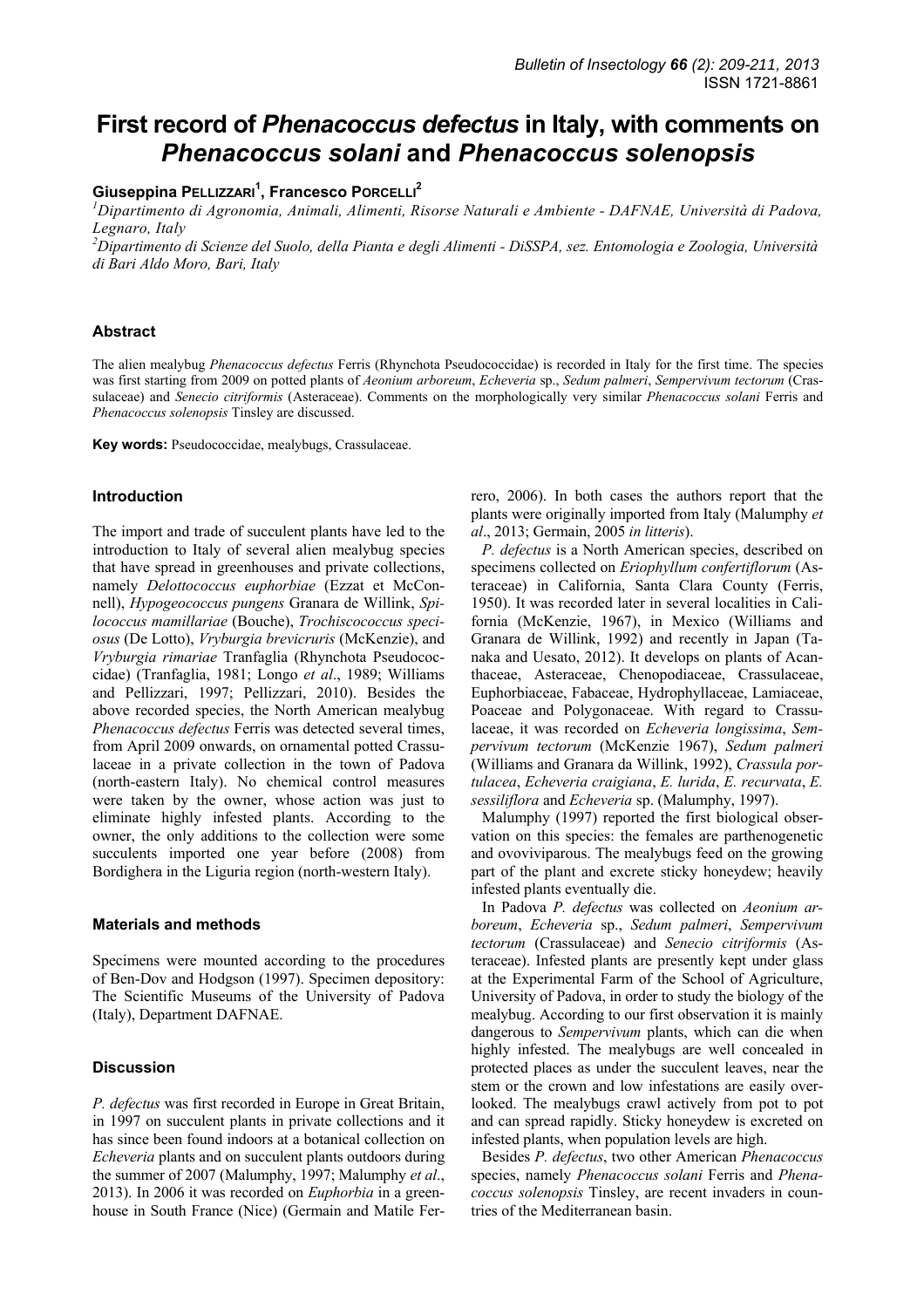# **First record of** *Phenacoccus defectus* **in Italy, with comments on**  *Phenacoccus solani* **and** *Phenacoccus solenopsis*

# **Giuseppina PELLIZZARI<sup>1</sup> , Francesco PORCELLI2**

<sup>1</sup> Dipartimento di Agronomia, Animali, Alimenti, Risorse Naturali e Ambiente - DAFNAE, Università di Padova, *Legnaro, Italy* 

*2 Dipartimento di Scienze del Suolo, della Pianta e degli Alimenti - DiSSPA, sez. Entomologia e Zoologia, Università di Bari Aldo Moro, Bari, Italy* 

## **Abstract**

The alien mealybug *Phenacoccus defectus* Ferris (Rhynchota Pseudococcidae) is recorded in Italy for the first time. The species was first starting from 2009 on potted plants of *Aeonium arboreum*, *Echeveria* sp., *Sedum palmeri*, *Sempervivum tectorum* (Crassulaceae) and *Senecio citriformis* (Asteraceae). Comments on the morphologically very similar *Phenacoccus solani* Ferris and *Phenacoccus solenopsis* Tinsley are discussed.

**Key words:** Pseudococcidae, mealybugs, Crassulaceae.

#### **Introduction**

The import and trade of succulent plants have led to the introduction to Italy of several alien mealybug species that have spread in greenhouses and private collections, namely *Delottococcus euphorbiae* (Ezzat et McConnell), *Hypogeococcus pungens* Granara de Willink, *Spilococcus mamillariae* (Bouche), *Trochiscococcus speciosus* (De Lotto), *Vryburgia brevicruris* (McKenzie), and *Vryburgia rimariae* Tranfaglia (Rhynchota Pseudococcidae) (Tranfaglia, 1981; Longo *et al*., 1989; Williams and Pellizzari, 1997; Pellizzari, 2010). Besides the above recorded species, the North American mealybug *Phenacoccus defectus* Ferris was detected several times, from April 2009 onwards, on ornamental potted Crassulaceae in a private collection in the town of Padova (north-eastern Italy). No chemical control measures were taken by the owner, whose action was just to eliminate highly infested plants. According to the owner, the only additions to the collection were some succulents imported one year before  $(2008)$  from Bordighera in the Liguria region (north-western Italy).

#### **Materials and methods**

Specimens were mounted according to the procedures of Ben-Dov and Hodgson (1997). Specimen depository: The Scientific Museums of the University of Padova (Italy), Department DAFNAE.

#### **Discussion**

*P. defectus* was first recorded in Europe in Great Britain, in 1997 on succulent plants in private collections and it has since been found indoors at a botanical collection on *Echeveria* plants and on succulent plants outdoors during the summer of 2007 (Malumphy, 1997; Malumphy *et al*., 2013). In 2006 it was recorded on *Euphorbia* in a greenhouse in South France (Nice) (Germain and Matile Fer-

rero, 2006). In both cases the authors report that the plants were originally imported from Italy (Malumphy *et al*., 2013; Germain, 2005 *in litteris*).

*P. defectus* is a North American species, described on specimens collected on *Eriophyllum confertiflorum* (Asteraceae) in California, Santa Clara County (Ferris, 1950). It was recorded later in several localities in California (McKenzie, 1967), in Mexico (Williams and Granara de Willink, 1992) and recently in Japan (Tanaka and Uesato, 2012). It develops on plants of Acanthaceae, Asteraceae, Chenopodiaceae, Crassulaceae, Euphorbiaceae, Fabaceae, Hydrophyllaceae, Lamiaceae, Poaceae and Polygonaceae. With regard to Crassulaceae, it was recorded on *Echeveria longissima*, *Sempervivum tectorum* (McKenzie 1967), *Sedum palmeri* (Williams and Granara da Willink, 1992), *Crassula portulacea*, *Echeveria craigiana*, *E. lurida*, *E. recurvata*, *E. sessiliflora* and *Echeveria* sp. (Malumphy, 1997).

Malumphy (1997) reported the first biological observation on this species: the females are parthenogenetic and ovoviviparous. The mealybugs feed on the growing part of the plant and excrete sticky honeydew; heavily infested plants eventually die.

In Padova *P. defectus* was collected on *Aeonium arboreum*, *Echeveria* sp., *Sedum palmeri*, *Sempervivum tectorum* (Crassulaceae) and *Senecio citriformis* (Asteraceae). Infested plants are presently kept under glass at the Experimental Farm of the School of Agriculture, University of Padova, in order to study the biology of the mealybug. According to our first observation it is mainly dangerous to *Sempervivum* plants, which can die when highly infested. The mealybugs are well concealed in protected places as under the succulent leaves, near the stem or the crown and low infestations are easily overlooked. The mealybugs crawl actively from pot to pot and can spread rapidly. Sticky honeydew is excreted on infested plants, when population levels are high.

Besides *P. defectus*, two other American *Phenacoccus* species, namely *Phenacoccus solani* Ferris and *Phenacoccus solenopsis* Tinsley, are recent invaders in countries of the Mediterranean basin.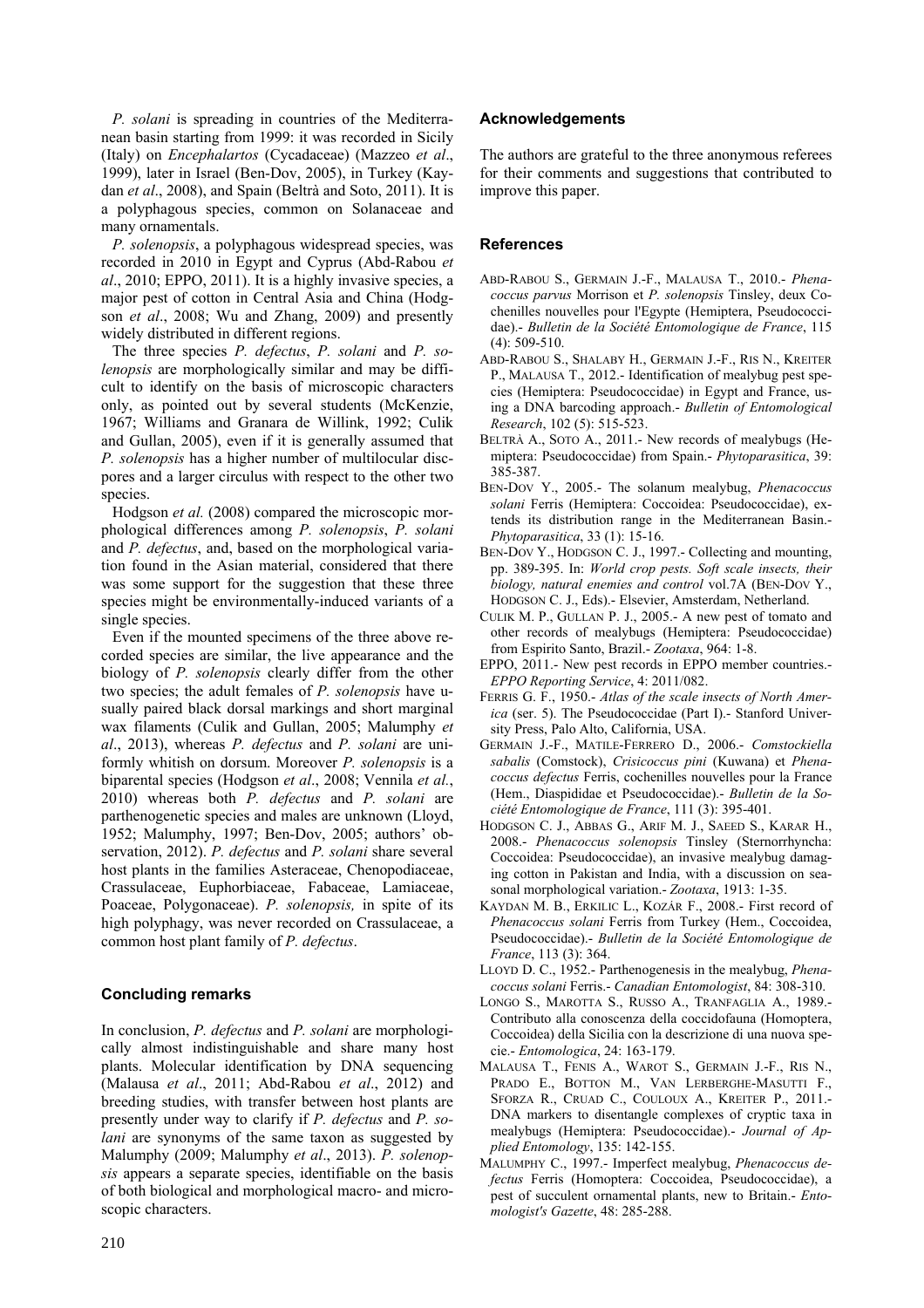*P. solani* is spreading in countries of the Mediterranean basin starting from 1999: it was recorded in Sicily (Italy) on *Encephalartos* (Cycadaceae) (Mazzeo *et al*., 1999), later in Israel (Ben-Dov, 2005), in Turkey (Kaydan *et al*., 2008), and Spain (Beltrà and Soto, 2011). It is a polyphagous species, common on Solanaceae and many ornamentals.

*P. solenopsis*, a polyphagous widespread species, was recorded in 2010 in Egypt and Cyprus (Abd-Rabou *et al*., 2010; EPPO, 2011). It is a highly invasive species, a major pest of cotton in Central Asia and China (Hodgson *et al*., 2008; Wu and Zhang, 2009) and presently widely distributed in different regions.

The three species *P. defectus*, *P. solani* and *P. solenopsis* are morphologically similar and may be difficult to identify on the basis of microscopic characters only, as pointed out by several students (McKenzie, 1967; Williams and Granara de Willink, 1992; Culik and Gullan, 2005), even if it is generally assumed that *P. solenopsis* has a higher number of multilocular discpores and a larger circulus with respect to the other two species.

Hodgson *et al.* (2008) compared the microscopic morphological differences among *P. solenopsis*, *P. solani* and *P. defectus*, and, based on the morphological variation found in the Asian material, considered that there was some support for the suggestion that these three species might be environmentally-induced variants of a single species.

Even if the mounted specimens of the three above recorded species are similar, the live appearance and the biology of *P. solenopsis* clearly differ from the other two species; the adult females of *P. solenopsis* have usually paired black dorsal markings and short marginal wax filaments (Culik and Gullan, 2005; Malumphy *et al*., 2013), whereas *P. defectus* and *P. solani* are uniformly whitish on dorsum. Moreover *P. solenopsis* is a biparental species (Hodgson *et al*., 2008; Vennila *et al.*, 2010) whereas both *P. defectus* and *P. solani* are parthenogenetic species and males are unknown (Lloyd, 1952; Malumphy, 1997; Ben-Dov, 2005; authors' observation, 2012). *P. defectus* and *P. solani* share several host plants in the families Asteraceae, Chenopodiaceae, Crassulaceae, Euphorbiaceae, Fabaceae, Lamiaceae, Poaceae, Polygonaceae). *P. solenopsis,* in spite of its high polyphagy, was never recorded on Crassulaceae, a common host plant family of *P. defectus*.

## **Concluding remarks**

In conclusion, *P. defectus* and *P. solani* are morphologically almost indistinguishable and share many host plants. Molecular identification by DNA sequencing (Malausa *et al*., 2011; Abd-Rabou *et al*., 2012) and breeding studies, with transfer between host plants are presently under way to clarify if *P. defectus* and *P. solani* are synonyms of the same taxon as suggested by Malumphy (2009; Malumphy *et al*., 2013). *P. solenopsis* appears a separate species, identifiable on the basis of both biological and morphological macro- and microscopic characters.

# **Acknowledgements**

The authors are grateful to the three anonymous referees for their comments and suggestions that contributed to improve this paper.

## **References**

- ABD-RABOU S., GERMAIN J.-F., MALAUSA T., 2010.- *Phenacoccus parvus* Morrison et *P. solenopsis* Tinsley, deux Cochenilles nouvelles pour l'Egypte (Hemiptera, Pseudococcidae).- *Bulletin de la Société Entomologique de France*, 115 (4): 509-510.
- ABD-RABOU S., SHALABY H., GERMAIN J.-F., RIS N., KREITER P., MALAUSA T., 2012.- Identification of mealybug pest species (Hemiptera: Pseudococcidae) in Egypt and France, using a DNA barcoding approach.- *Bulletin of Entomological Research*, 102 (5): 515-523.
- BELTRÀ A., SOTO A., 2011.- New records of mealybugs (Hemiptera: Pseudococcidae) from Spain.- *Phytoparasitica*, 39: 385-387.
- BEN-DOV Y., 2005.- The solanum mealybug, *Phenacoccus solani* Ferris (Hemiptera: Coccoidea: Pseudococcidae), extends its distribution range in the Mediterranean Basin.- *Phytoparasitica*, 33 (1): 15-16.
- BEN-DOV Y., HODGSON C. J., 1997.- Collecting and mounting, pp. 389-395. In: *World crop pests. Soft scale insects, their biology, natural enemies and control* vol.7A (BEN-DOV Y., HODGSON C. J., Eds).- Elsevier, Amsterdam, Netherland.
- CULIK M. P., GULLAN P. J., 2005.- A new pest of tomato and other records of mealybugs (Hemiptera: Pseudococcidae) from Espirito Santo, Brazil.- *Zootaxa*, 964: 1-8.
- EPPO, 2011.- New pest records in EPPO member countries.- *EPPO Reporting Service*, 4: 2011/082.
- FERRIS G. F., 1950.- *Atlas of the scale insects of North America* (ser. 5). The Pseudococcidae (Part I).- Stanford University Press, Palo Alto, California, USA.
- GERMAIN J.-F., MATILE-FERRERO D., 2006.- *Comstockiella sabalis* (Comstock), *Crisicoccus pini* (Kuwana) et *Phenacoccus defectus* Ferris, cochenilles nouvelles pour la France (Hem., Diaspididae et Pseudococcidae).- *Bulletin de la Société Entomologique de France*, 111 (3): 395-401.
- HODGSON C. J., ABBAS G., ARIF M. J., SAEED S., KARAR H., 2008.- *Phenacoccus solenopsis* Tinsley (Sternorrhyncha: Coccoidea: Pseudococcidae), an invasive mealybug damaging cotton in Pakistan and India, with a discussion on seasonal morphological variation.- *Zootaxa*, 1913: 1-35.
- KAYDAN M. B., ERKILIC L., KOZÁR F., 2008.- First record of *Phenacoccus solani* Ferris from Turkey (Hem., Coccoidea, Pseudococcidae).- *Bulletin de la Société Entomologique de France*, 113 (3): 364.
- LLOYD D. C., 1952.- Parthenogenesis in the mealybug, *Phenacoccus solani* Ferris.- *Canadian Entomologist*, 84: 308-310.
- LONGO S., MAROTTA S., RUSSO A., TRANFAGLIA A., 1989.- Contributo alla conoscenza della coccidofauna (Homoptera, Coccoidea) della Sicilia con la descrizione di una nuova specie.- *Entomologica*, 24: 163-179.
- MALAUSA T., FENIS A., WAROT S., GERMAIN J.-F., RIS N., PRADO E., BOTTON M., VAN LERBERGHE-MASUTTI F., SFORZA R., CRUAD C., COULOUX A., KREITER P., 2011.- DNA markers to disentangle complexes of cryptic taxa in mealybugs (Hemiptera: Pseudococcidae).- *Journal of Applied Entomology*, 135: 142-155.
- MALUMPHY C., 1997.- Imperfect mealybug, *Phenacoccus defectus* Ferris (Homoptera: Coccoidea, Pseudococcidae), a pest of succulent ornamental plants, new to Britain.- *Entomologist's Gazette*, 48: 285-288.